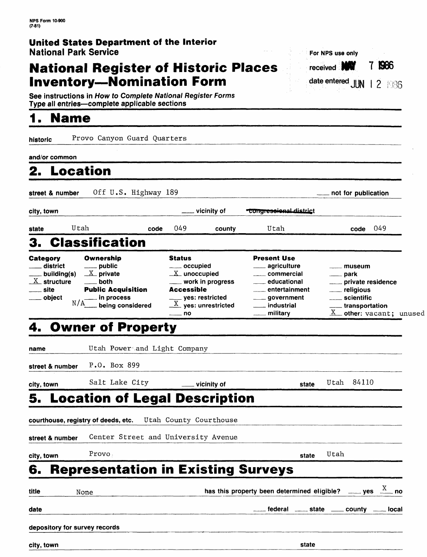### **United States Department of the Interior** National Park Service

### **National Register of Historic Places Inventory-Nomination Form**

|  | For NPS use only              |  |      |
|--|-------------------------------|--|------|
|  | received <b>NW</b>            |  | 7986 |
|  | date entered $JUN$   2   $86$ |  |      |

transportation

 $X$  other: vacant; unused

**See** instructions in How to Complete National Register Forms Type all entries-complete applicable sections

# **1. Name\_\_\_\_\_\_\_\_\_\_\_\_\_\_\_\_\_**

**historic** Provo Canyon Guard Quarters

**and/or common\_\_\_\_\_\_\_\_\_\_\_\_\_\_\_\_\_\_\_\_\_\_\_\_\_\_\_\_\_\_\_\_\_\_\_\_\_**

| 2. Location |  |  |  |
|-------------|--|--|--|

street & number Off U.S. Highway 189 not for publication **city, town** control in the latter of light the light vicinity of the comp<del>ressional district</del> **state** Utah code 049 county Utah code 049 3. Classification **Category**  $\equiv$  district building(s)  $X$  structure <u>\_\_\_\_</u> site object **Ownership** public  $\underline{X}$  private both Public Acquisition in process Status occupied  $X$  unoccupied work in progress Accessible yes: restricted Present Use agriculture commercial educational entertainment government museum park private residence religious **Scientific** 

 $X$  yes: unrestricted

industrial military

no

# **4. Owner of Property**

 $N/A$  being considered

|                               | 4. UWNER OF Property                                        |                                                                        |                                              |      |            |  |
|-------------------------------|-------------------------------------------------------------|------------------------------------------------------------------------|----------------------------------------------|------|------------|--|
| name                          | Utah Power and Light Company                                |                                                                        |                                              |      |            |  |
| street & number               | P.O. Box 899                                                |                                                                        |                                              |      |            |  |
| city, town                    | Salt Lake City                                              | ____ vicinity of                                                       | state                                        |      | Utah 84110 |  |
|                               | <b>5. Location of Legal Description</b>                     |                                                                        |                                              |      |            |  |
|                               | courthouse, registry of deeds, etc.  Utah County Courthouse |                                                                        |                                              |      |            |  |
| street & number               | Center Street and University Avenue                         |                                                                        |                                              |      |            |  |
| city, town                    | Provo.                                                      |                                                                        | state                                        | Utah |            |  |
| 6.                            | <b>Representation in Existing Surveys</b>                   |                                                                        |                                              |      |            |  |
| <b>title</b>                  | None                                                        | has this property been determined eligible? _____ yes $\frac{X}{X}$ no |                                              |      |            |  |
| date                          |                                                             |                                                                        | ___ federal ____ state ____ county ___ local |      |            |  |
| depository for survey records |                                                             |                                                                        |                                              |      |            |  |
| city, town                    |                                                             |                                                                        | state                                        |      |            |  |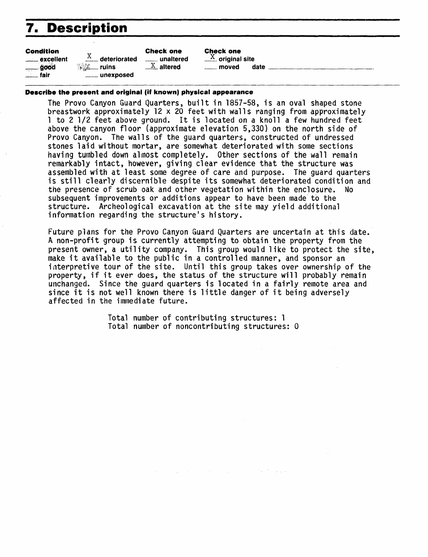# **7. Description**

| <b>Condition</b>   |                                | <b>Check one</b>        |
|--------------------|--------------------------------|-------------------------|
| _____ excellent    | $X$ <sub>--</sub> deteriorated | . unaltere              |
| $\frac{1}{2}$ good | <b>美生 ruins</b>                | $\underline{X}$ altered |
| fair               | ___ unexposed                  |                         |

Check one  $\frac{X}{X}$  original site  $\_$  moved date  $\_$ 

#### **Describe the present and original (if known) physical appearance**

unaltered  $\underline{\text{X}}$  altered

The Provo Canyon Guard Quarters, built in 1857-58, is an oval shaped stone breastwork approximately 12 x 20 feet with walls ranging from approximately 1 to 2 1/2 feet above ground. It is located on a knoll a few hundred feet above the canyon floor (approximate elevation 5,330) on the north side of Provo Canyon. The walls of the guard quarters, constructed of undressed stones laid without mortar, are somewhat deteriorated with some sections having tumbled down almost completely. Other sections of the wall remain remarkably intact, however, giving clear evidence that the structure was assembled with at least some degree of care and purpose. The guard quarters is still clearly discernible despite its somewhat deteriorated condition and the presence of scrub oak and other vegetation within the enclosure. No subsequent improvements or additions appear to have been made to the structure. Archeological excavation at the site may yield additional information regarding the structure's history.

Future plans for the Provo Canyon Guard Quarters are uncertain at this date. A non-profit group is currently attempting to obtain the property from the present owner, a utility company. This group would like to protect the site, make it available to the public in a controlled manner, and sponsor an interpretive tour of the site. Until this group takes over ownership of the property, if it ever does, the status of the structure will probably remain unchanged. Since the guard quarters is located in a fairly remote area and since it is not well known there is little danger of it being adversely affected in the immediate future.

> Total number of contributing structures: 1 Total number of noncontributing structures: 0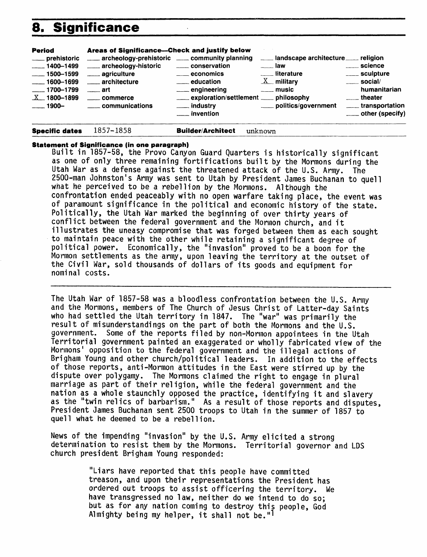## **8. Significance**

| <b>Period</b><br>_____ prehistoric<br>$-1400 - 1499$<br>$\frac{1}{2}$ 1500-1599 | Areas of Significance-Check and justify below<br>archeology-prehistoric _____ community planning<br>____ archeology-historic<br>_____ agriculture | <b>Example 20 CONSERVATION</b><br>$\equiv$ economics                                                                   | ___ landscape architecture ___ religion<br>$\equiv$ law<br>___ literature | science<br>____ sculpture                                                                                          |
|---------------------------------------------------------------------------------|---------------------------------------------------------------------------------------------------------------------------------------------------|------------------------------------------------------------------------------------------------------------------------|---------------------------------------------------------------------------|--------------------------------------------------------------------------------------------------------------------|
| $-1600 - 1699$<br>$\frac{1700 - 1799}{2}$<br>$X = 1800 - 1899$<br>$-1900-$      | <u>__</u> ___ architecture<br>$\equiv$ art<br>____ commerce<br>_____ communications                                                               | <u>__</u> education<br>___ engineering<br>____ exploration/settlement ____ philosophy<br>___ industry<br>___ invention | $X$ military<br>$\overline{\phantom{a}}$ music<br>politics/government     | $\frac{1}{2}$ social/<br>humanitarian<br>$\frac{1}{2}$ theater<br>_____ transportation<br>$\equiv$ other (specify) |

#### **Statement of Significance (in one paragraph)**

**Specific dates 1357-1858 Builder/Architect unknown**

Built in 1857-58, the Provo Canyon Guard Quarters is historically significant as one of only three remaining fortifications built by the Mormons during the Utah War as a defense against the threatened attack of the U.S. Army. The 2500-man Johnston's Army was sent to Utah by President James Buchanan to quell what he perceived to be a rebellion by the Mormons. Although the confrontation ended peaceably with no open warfare taking place, the event was of paramount significance in the political and economic history of the state. Politically, the Utah War marked the beginning of over thirty years of conflict between the federal government and the Mormon church, and it illustrates the uneasy compromise that was forged between them as each sought to maintain peace with the other while retaining a significant degree of political power. Economically, the "invasion" proved to be a boon for the Mormon settlements as the army, upon leaving the territory at the outset of the Civil War, sold thousands of dollars of its goods and equipment for nominal costs.

The Utah War of 1857-58 was a bloodless confrontation between the U.S. Army and the Mormons, members of The Church of Jesus Christ of Latter-day Saints who had settled the Utah territory in 1847. The "war" was primarily the result of misunderstandings on the part of both the Mormons and the U.S. government. Some of the reports filed by non-Morrnon appointees in the Utah Territorial government painted an exaggerated or wholly fabricated view of the Mormons' opposition to the federal government and the illegal actions of Brigham Young and other church/political leaders. In addition to the effects of those reports, anti-Mormon attitudes in the East were stirred up by the dispute over polygamy. The Mormons claimed the right to engage in plural marriage as part of their religion, while the federal government and the nation as a whole staunchly opposed the practice, identifying it and slavery as the "twin relics of barbarism." As a result of those reports and disputes, President James Buchanan sent 2500 troops to Utah in the summer of 1857 to quell what he deemed to be a rebellion.

News of the impending "invasion" by the U.S. Army elicited a strong determination to resist them by the Mormons. Territorial governor and IDS church president Brigham Young responded:

> "Liars have reported that this people have committed treason, and upon their representations the President has ordered out troops to assist officering the territory. We have transgressed no law, neither do we intend to do so; but as for any nation coming to destroy this people, God Almighty being my helper, it shall not be."<sup>1</sup>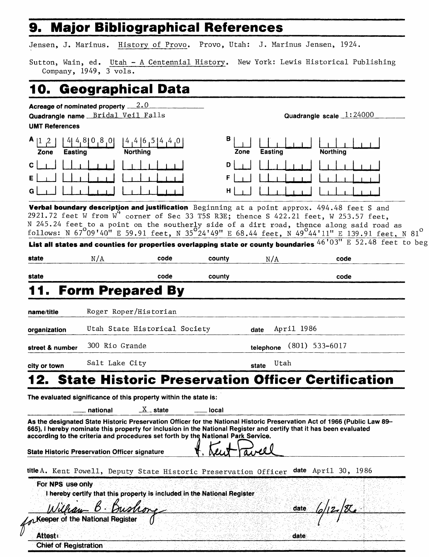### **9. Major Bibliographical References**

Jensen, J. Marinus. History of Provo. Provo, Utah: J. Marinus Jensen, 1924.

Sutton, Wain, ed. Utah - A Centennial History, New York: Lewis Historical Publishing **Company, 1949, 3 vols.**

## **10. Geographical Data**

| Quadrangle name Bridal Veil Falls |                                                                                           |                       | Quadrangle scale $1:24000$ |                                                                                                                     |                                                                                                                                                                                               |
|-----------------------------------|-------------------------------------------------------------------------------------------|-----------------------|----------------------------|---------------------------------------------------------------------------------------------------------------------|-----------------------------------------------------------------------------------------------------------------------------------------------------------------------------------------------|
| <b>UMT References</b>             |                                                                                           |                       |                            |                                                                                                                     |                                                                                                                                                                                               |
| Zone<br>Easting                   | $4, 8$   0,8,0 <br><b>Northing</b>                                                        | (4, 4, 6, 5, 4, 4, 0) | в<br>Zone                  | Easting                                                                                                             | <b>Northing</b>                                                                                                                                                                               |
| C                                 |                                                                                           |                       | D                          |                                                                                                                     |                                                                                                                                                                                               |
|                                   |                                                                                           |                       |                            |                                                                                                                     |                                                                                                                                                                                               |
| G                                 |                                                                                           |                       | н                          |                                                                                                                     |                                                                                                                                                                                               |
|                                   |                                                                                           |                       |                            |                                                                                                                     | Verbal boundary description and justification Beginning at a point approx. 494.48 feet S and                                                                                                  |
|                                   |                                                                                           |                       |                            |                                                                                                                     | 2921.72 feet W from W <sup>+</sup> corner of Sec 33 T5S R3E; thence S 422.21 feet, W 253.57 feet,<br>N 245.24 feet to a point on the southerly side of a dirt road, thence along said road as |
|                                   |                                                                                           |                       |                            |                                                                                                                     | follows: N 67 $^{0}$ 09'40" E 59.91 feet, N 35 $^{0}$ 24'49" E 68.44 feet, N 49 $^{0}$ 44'11" E 139.91 feet, N 81 $^{0}$                                                                      |
|                                   |                                                                                           |                       |                            |                                                                                                                     | List all states and counties for properties overlapping state or county boundaries $46'03''E52.48$ feet to be                                                                                 |
| state                             | N/A                                                                                       | code                  | county                     | N/A                                                                                                                 | code                                                                                                                                                                                          |
| state                             |                                                                                           | code                  | county                     |                                                                                                                     | code                                                                                                                                                                                          |
|                                   | <b>Form Prepared By</b>                                                                   |                       |                            |                                                                                                                     |                                                                                                                                                                                               |
|                                   |                                                                                           |                       |                            |                                                                                                                     |                                                                                                                                                                                               |
| name/title                        | Roger Roper/Historian                                                                     |                       |                            |                                                                                                                     |                                                                                                                                                                                               |
| organization                      | Utah State Historical Society                                                             |                       |                            | April 1986<br>date                                                                                                  |                                                                                                                                                                                               |
| street & number                   | 300 Rio Grande                                                                            |                       |                            | telephone                                                                                                           | $(801)$ 533-6017                                                                                                                                                                              |
| city or town                      | Salt Lake City                                                                            |                       |                            | Utah<br>state                                                                                                       |                                                                                                                                                                                               |
|                                   |                                                                                           |                       |                            |                                                                                                                     | 2. State Historic Preservation Officer Certification                                                                                                                                          |
|                                   |                                                                                           |                       |                            |                                                                                                                     |                                                                                                                                                                                               |
|                                   | The evaluated significance of this property within the state is:<br><sub>—</sub> national | $X_{-}$ state         | local                      |                                                                                                                     |                                                                                                                                                                                               |
|                                   |                                                                                           |                       |                            |                                                                                                                     | As the designated State Historic Preservation Officer for the National Historic Preservation Act of 1966 (Public Law 89–                                                                      |
|                                   | according to the criteria and procedures set forth by the National Park Service.          |                       |                            | 665), I hereby nominate this property for inclusion in the National Register and certify that it has been evaluated |                                                                                                                                                                                               |
|                                   |                                                                                           |                       |                            |                                                                                                                     |                                                                                                                                                                                               |
|                                   | <b>State Historic Preservation Officer signature</b>                                      |                       |                            |                                                                                                                     |                                                                                                                                                                                               |
|                                   | title A. Kent Powell, Deputy State Historic Preservation Officer                          |                       |                            |                                                                                                                     | date April 30, 1986                                                                                                                                                                           |
| For NPS use only                  |                                                                                           |                       |                            |                                                                                                                     |                                                                                                                                                                                               |
|                                   | I hereby certify that this property is included in the National Register                  |                       |                            |                                                                                                                     |                                                                                                                                                                                               |
|                                   |                                                                                           |                       |                            | date.                                                                                                               |                                                                                                                                                                                               |
|                                   | Meeper of the National Register                                                           |                       |                            |                                                                                                                     |                                                                                                                                                                                               |
| Attest:                           |                                                                                           |                       |                            | date                                                                                                                |                                                                                                                                                                                               |
| <b>Chief of Registration</b>      |                                                                                           |                       |                            |                                                                                                                     |                                                                                                                                                                                               |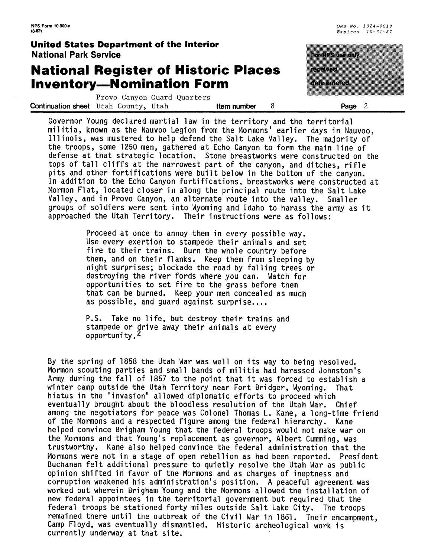### **United States Department of the Interior** National Park Service

### **National Register of Historic Places Inventory—Nomination Form**



Provo Canyon Guard Quarters **Continuation sheet** Utah County, Utah **Item number** 8 **Page 2** 

Governor Young declared martial law in the territory and the territorial militia, known as the Nauvoo Legion from the Mormons' earlier days in Nauvoo, Illinois, was mustered to help defend the Salt Lake Valley. The majority of the troops, some 1250 men, gathered at Echo Canyon to form the main line of defense at that strategic location. Stone breastworks were constructed on the tops of tall cliffs at the narrowest part of the canyon, and ditches, rifle pits and other fortifications were built below in the bottom of the canyon. In addition to the Echo Canyon fortifications, breastworks were constructed at Mormon Flat, located closer in along the principal route into the Salt Lake Valley, and in Provo Canyon, an alternate route into the valley. Smaller groups of soldiers were sent into Wyoming and Idaho to harass the army as it approached the Utah Territory. Their instructions were as follows:

> Proceed at once to annoy them in every possible way. Use every exertion to stampede their animals and set fire to their trains. Burn the whole country before them, and on their flanks. Keep them from sleeping by night surprises; blockade the road by falling trees or destroying the river fords where you can. Watch for opportunities to set fire to the grass before them that can be burned. Keep your men concealed as much as possible, and guard against surprise....

P.S. Take no life, but destroy their trains and stampede or drive away their animals at every opportunity.2

By the spring of 1858 the Utah War was well on its way to being resolved. Mormon scouting parties and small bands of militia had harassed Johnston's Army during the fall of 1857 to the point that it was forced to establish a winter camp outside the Utah Territory near Fort Bridger, Wyoming. That hiatus in the "invasion" allowed diplomatic efforts to proceed which eventually brought about the bloodless resolution of the Utah War. Chief among the negotiators for peace was Colonel Thomas L. Kane, a long-time friend of the Mormons and a respected figure among the federal hierarchy. Kane helped convince Brigham Young that the federal troops would not make war on the Mormons and that Young's replacement as governor, Albert Cumming, was trustworthy. Kane also helped convince the federal administration that the Mormons were not in a stage of open rebellion as had been reported. President Buchanan felt additional pressure to quietly resolve the Utah War as public opinion shifted in favor of the Mormons and as charges of ineptness and corruption weakened his administration's position. A peaceful agreement was worked out wherein Brigham Young and the Mormons allowed the installation of new federal appointees in the territorial government but required that the federal troops be stationed forty miles outside Salt Lake City. The troops remained there until the outbreak of the Civil War in 1861. Their encampment, Camp Floyd, was eventually dismantled. Historic archeological work is currently underway at that site.